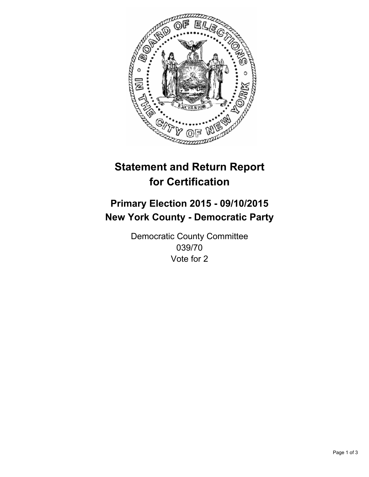

# **Statement and Return Report for Certification**

## **Primary Election 2015 - 09/10/2015 New York County - Democratic Party**

Democratic County Committee 039/70 Vote for 2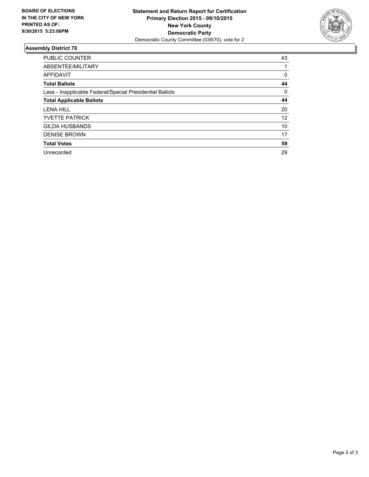

#### **Assembly District 70**

| <b>PUBLIC COUNTER</b>                                    | 43 |
|----------------------------------------------------------|----|
| ABSENTEE/MILITARY                                        |    |
| <b>AFFIDAVIT</b>                                         | 0  |
| <b>Total Ballots</b>                                     | 44 |
| Less - Inapplicable Federal/Special Presidential Ballots | 0  |
| <b>Total Applicable Ballots</b>                          | 44 |
| <b>LENA HILL</b>                                         | 20 |
| YVETTE PATRICK                                           | 12 |
| <b>GILDA HUSBANDS</b>                                    | 10 |
| <b>DENISE BROWN</b>                                      | 17 |
| <b>Total Votes</b>                                       | 59 |
| Unrecorded                                               | 29 |